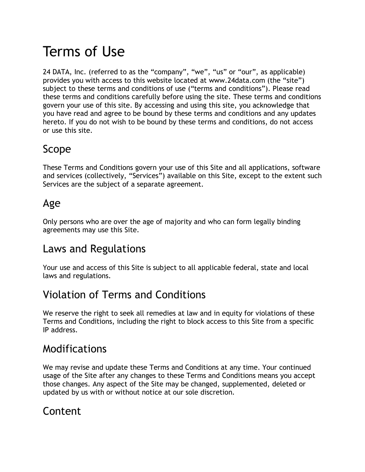# Terms of Use

24 DATA, Inc. (referred to as the "company", "we", "us" or "our", as applicable) provides you with access to this website located at www.24data.com (the "site") subject to these terms and conditions of use ("terms and conditions"). Please read these terms and conditions carefully before using the site. These terms and conditions govern your use of this site. By accessing and using this site, you acknowledge that you have read and agree to be bound by these terms and conditions and any updates hereto. If you do not wish to be bound by these terms and conditions, do not access or use this site.

## Scope

These Terms and Conditions govern your use of this Site and all applications, software and services (collectively, "Services") available on this Site, except to the extent such Services are the subject of a separate agreement.

#### Age

Only persons who are over the age of majority and who can form legally binding agreements may use this Site.

## Laws and Regulations

Your use and access of this Site is subject to all applicable federal, state and local laws and regulations.

# Violation of Terms and Conditions

We reserve the right to seek all remedies at law and in equity for violations of these Terms and Conditions, including the right to block access to this Site from a specific IP address.

## Modifications

We may revise and update these Terms and Conditions at any time. Your continued usage of the Site after any changes to these Terms and Conditions means you accept those changes. Any aspect of the Site may be changed, supplemented, deleted or updated by us with or without notice at our sole discretion.

## Content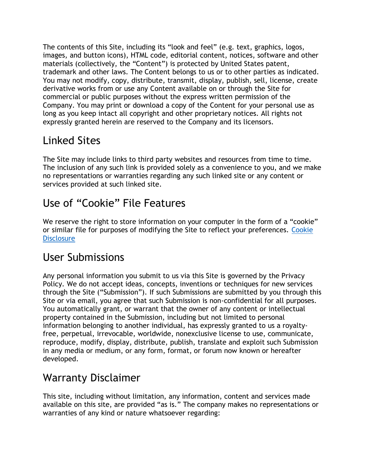The contents of this Site, including its "look and feel" (e.g. text, graphics, logos, images, and button icons), HTML code, editorial content, notices, software and other materials (collectively, the "Content") is protected by United States patent, trademark and other laws. The Content belongs to us or to other parties as indicated. You may not modify, copy, distribute, transmit, display, publish, sell, license, create derivative works from or use any Content available on or through the Site for commercial or public purposes without the express written permission of the Company. You may print or download a copy of the Content for your personal use as long as you keep intact all copyright and other proprietary notices. All rights not expressly granted herein are reserved to the Company and its licensors.

# Linked Sites

The Site may include links to third party websites and resources from time to time. The inclusion of any such link is provided solely as a convenience to you, and we make no representations or warranties regarding any such linked site or any content or services provided at such linked site.

# Use of "Cookie" File Features

We reserve the right to store information on your computer in the form of a "cookie" or similar file for purposes of modifying the Site to reflect your preferences. [Cookie](https://24data.com/cookie-disclosure)  **[Disclosure](https://24data.com/cookie-disclosure)** 

#### User Submissions

Any personal information you submit to us via this Site is governed by the Privacy Policy. We do not accept ideas, concepts, inventions or techniques for new services through the Site ("Submission"). If such Submissions are submitted by you through this Site or via email, you agree that such Submission is non-confidential for all purposes. You automatically grant, or warrant that the owner of any content or intellectual property contained in the Submission, including but not limited to personal information belonging to another individual, has expressly granted to us a royaltyfree, perpetual, irrevocable, worldwide, nonexclusive license to use, communicate, reproduce, modify, display, distribute, publish, translate and exploit such Submission in any media or medium, or any form, format, or forum now known or hereafter developed.

## Warranty Disclaimer

This site, including without limitation, any information, content and services made available on this site, are provided "as is." The company makes no representations or warranties of any kind or nature whatsoever regarding: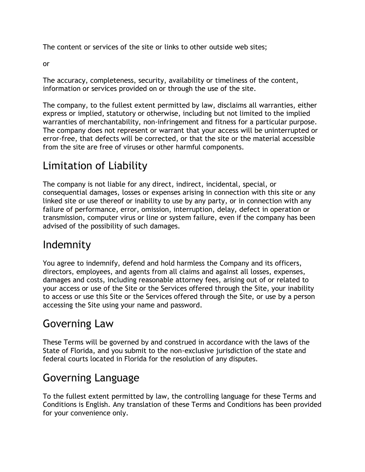The content or services of the site or links to other outside web sites;

or

The accuracy, completeness, security, availability or timeliness of the content, information or services provided on or through the use of the site.

The company, to the fullest extent permitted by law, disclaims all warranties, either express or implied, statutory or otherwise, including but not limited to the implied warranties of merchantability, non-infringement and fitness for a particular purpose. The company does not represent or warrant that your access will be uninterrupted or error-free, that defects will be corrected, or that the site or the material accessible from the site are free of viruses or other harmful components.

## Limitation of Liability

The company is not liable for any direct, indirect, incidental, special, or consequential damages, losses or expenses arising in connection with this site or any linked site or use thereof or inability to use by any party, or in connection with any failure of performance, error, omission, interruption, delay, defect in operation or transmission, computer virus or line or system failure, even if the company has been advised of the possibility of such damages.

#### Indemnity

You agree to indemnify, defend and hold harmless the Company and its officers, directors, employees, and agents from all claims and against all losses, expenses, damages and costs, including reasonable attorney fees, arising out of or related to your access or use of the Site or the Services offered through the Site, your inability to access or use this Site or the Services offered through the Site, or use by a person accessing the Site using your name and password.

#### Governing Law

These Terms will be governed by and construed in accordance with the laws of the State of Florida, and you submit to the non-exclusive jurisdiction of the state and federal courts located in Florida for the resolution of any disputes.

## Governing Language

To the fullest extent permitted by law, the controlling language for these Terms and Conditions is English. Any translation of these Terms and Conditions has been provided for your convenience only.